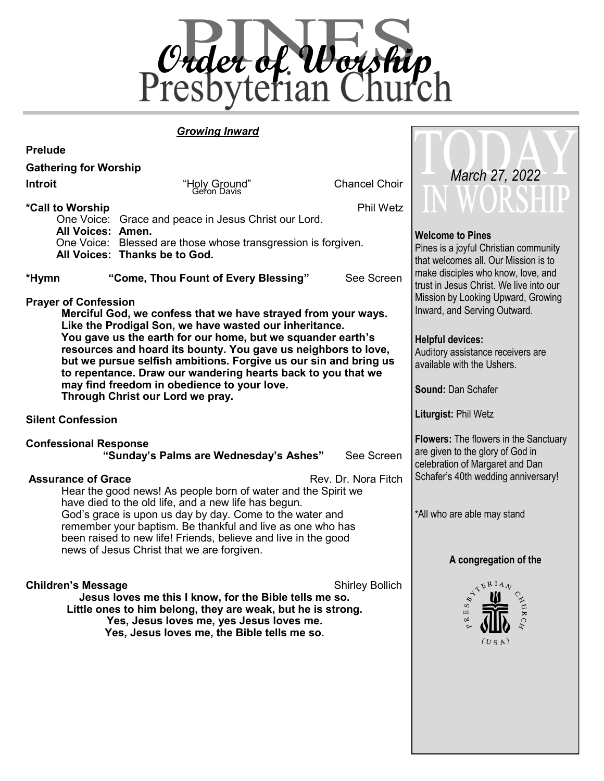

**TIM** 

 $\bigcap$ 

#### *Growing Inward*

| <b>Prelude</b>                                                                                                                                                                                                                                                                                                                                                                                                                                                                                                 |                                                                                                                                                                                                                                                                                                                                                                 |                         |                                                                                                                                                |
|----------------------------------------------------------------------------------------------------------------------------------------------------------------------------------------------------------------------------------------------------------------------------------------------------------------------------------------------------------------------------------------------------------------------------------------------------------------------------------------------------------------|-----------------------------------------------------------------------------------------------------------------------------------------------------------------------------------------------------------------------------------------------------------------------------------------------------------------------------------------------------------------|-------------------------|------------------------------------------------------------------------------------------------------------------------------------------------|
| <b>Gathering for Worship</b>                                                                                                                                                                                                                                                                                                                                                                                                                                                                                   |                                                                                                                                                                                                                                                                                                                                                                 |                         |                                                                                                                                                |
| <b>Introit</b>                                                                                                                                                                                                                                                                                                                                                                                                                                                                                                 | "Holy Ground"<br>Geron Davis                                                                                                                                                                                                                                                                                                                                    | <b>Chancel Choir</b>    | March 27, 2022                                                                                                                                 |
| *Call to Worship<br>All Voices: Amen.<br>*Hymn                                                                                                                                                                                                                                                                                                                                                                                                                                                                 | One Voice: Grace and peace in Jesus Christ our Lord.<br>One Voice: Blessed are those whose transgression is forgiven.<br>All Voices: Thanks be to God.<br>"Come, Thou Fount of Every Blessing"                                                                                                                                                                  | Phil Wetz<br>See Screen | <b>Welcome to Pines</b><br>Pines is a joyful Christian community<br>that welcomes all. Our Mission is to<br>make disciples who know, love, and |
| <b>Prayer of Confession</b><br>Merciful God, we confess that we have strayed from your ways.<br>Like the Prodigal Son, we have wasted our inheritance.<br>You gave us the earth for our home, but we squander earth's<br>resources and hoard its bounty. You gave us neighbors to love,<br>but we pursue selfish ambitions. Forgive us our sin and bring us<br>to repentance. Draw our wandering hearts back to you that we<br>may find freedom in obedience to your love.<br>Through Christ our Lord we pray. | trust in Jesus Christ. We live into our<br>Mission by Looking Upward, Growing<br>Inward, and Serving Outward.<br><b>Helpful devices:</b><br>Auditory assistance receivers are<br>available with the Ushers.<br><b>Sound: Dan Schafer</b>                                                                                                                        |                         |                                                                                                                                                |
| <b>Silent Confession</b>                                                                                                                                                                                                                                                                                                                                                                                                                                                                                       | Liturgist: Phil Wetz                                                                                                                                                                                                                                                                                                                                            |                         |                                                                                                                                                |
| <b>Confessional Response</b><br>"Sunday's Palms are Wednesday's Ashes"                                                                                                                                                                                                                                                                                                                                                                                                                                         | <b>Flowers:</b> The flowers in the Sanctuary<br>are given to the glory of God in<br>celebration of Margaret and Dan                                                                                                                                                                                                                                             |                         |                                                                                                                                                |
| <b>Assurance of Grace</b>                                                                                                                                                                                                                                                                                                                                                                                                                                                                                      | Hear the good news! As people born of water and the Spirit we<br>have died to the old life, and a new life has begun.<br>God's grace is upon us day by day. Come to the water and<br>remember your baptism. Be thankful and live as one who has<br>been raised to new life! Friends, believe and live in the good<br>news of Jesus Christ that we are forgiven. | Rev. Dr. Nora Fitch     | Schafer's 40th wedding anniversary!<br>*All who are able may stand<br>A congregation of the                                                    |
| <b>Children's Message</b>                                                                                                                                                                                                                                                                                                                                                                                                                                                                                      | Jesus loves me this I know, for the Bible tells me so.<br>Little ones to him belong, they are weak, but he is strong.<br>Yes, Jesus loves me, yes Jesus loves me.<br>Yes, Jesus loves me, the Bible tells me so.                                                                                                                                                | <b>Shirley Bollich</b>  | ATERIAL<br>(U S A)                                                                                                                             |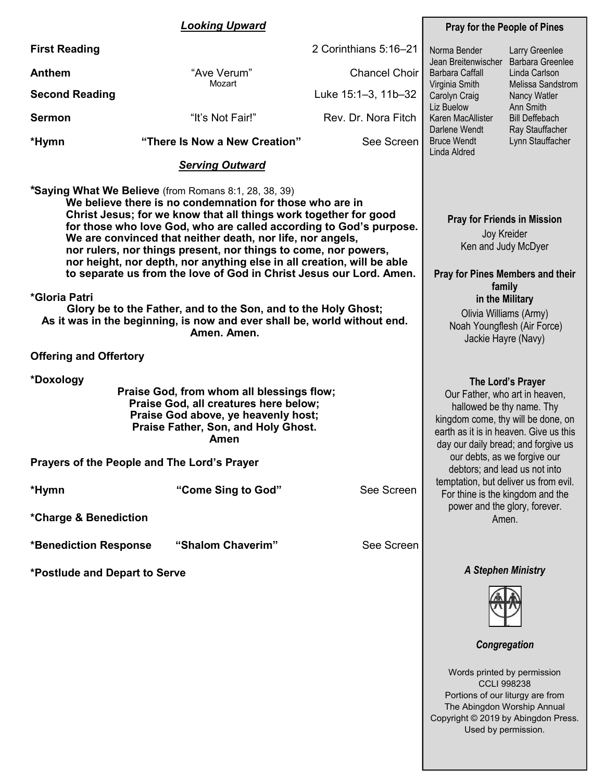#### *Looking Upward* **First Reading** 2 Corinthians 5:16–21 **Anthem Example 20 THS CHOICE THE CHOICH STATE CHOICH CHOICH STATE CHOICH STATE CHOICH STATE CHOICH STATE CHOICH STATE CHOICH STATE CHOICH STATE CHOICH STATE CHOICH STATE CHOICH STATE CHOICH STATE CHOICH STATE CHOICH STA**  Mozart **Second Reading** Luke 15:1-3, 11b-32 **Sermon** "It's Not Fair!"Rev. Dr. Nora Fitch **\*Hymn "There Is Now a New Creation"** See Screen *Serving Outward* **\*Saying What We Believe** (from Romans 8:1, 28, 38, 39) **We believe there is no condemnation for those who are in Christ Jesus; for we know that all things work together for good for those who love God, who are called according to God's purpose. We are convinced that neither death, nor life, nor angels, nor rulers, nor things present, nor things to come, nor powers, nor height, nor depth, nor anything else in all creation, will be able to separate us from the love of God in Christ Jesus our Lord. Amen. \*Gloria Patri Glory be to the Father, and to the Son, and to the Holy Ghost; As it was in the beginning, is now and ever shall be, world without end. Amen. Amen. Offering and Offertory \*Doxology Praise God, from whom all blessings flow; Praise God, all creatures here below; Praise God above, ye heavenly host; Praise Father, Son, and Holy Ghost. Amen Prayers of the People and The Lord's Prayer \*Hymn "Come Sing to God"** See Screen **\*Charge & Benediction \*Benediction Response "Shalom Chaverim"** See Screen **\*Postlude and Depart to Serve Pray for the People of Pines Pray for Friends in Mission** Joy Kreider Ken and Judy McDyer **Pray for Pines Members and their family in the Military** Olivia Williams (Army) Noah Youngflesh (Air Force) Jackie Hayre (Navy) *A Stephen Ministry*  Norma Bender Jean Breitenwischer Barbara Greenlee Barbara Caffall Virginia Smith Carolyn Craig Liz Buelow Karen MacAllister Darlene Wendt Bruce Wendt Linda Aldred Larry Greenlee Linda Carlson Melissa Sandstrom Nancy Watler Ann Smith Bill Deffebach Ray Stauffacher Lynn Stauffacher **The Lord's Prayer** Our Father, who art in heaven, hallowed be thy name. Thy kingdom come, thy will be done, on earth as it is in heaven. Give us this day our daily bread; and forgive us our debts, as we forgive our debtors; and lead us not into temptation, but deliver us from evil. For thine is the kingdom and the power and the glory, forever. Amen.



*Congregation*

Words printed by permission CCLI 998238 Portions of our liturgy are from The Abingdon Worship Annual Copyright © 2019 by Abingdon Press. Used by permission.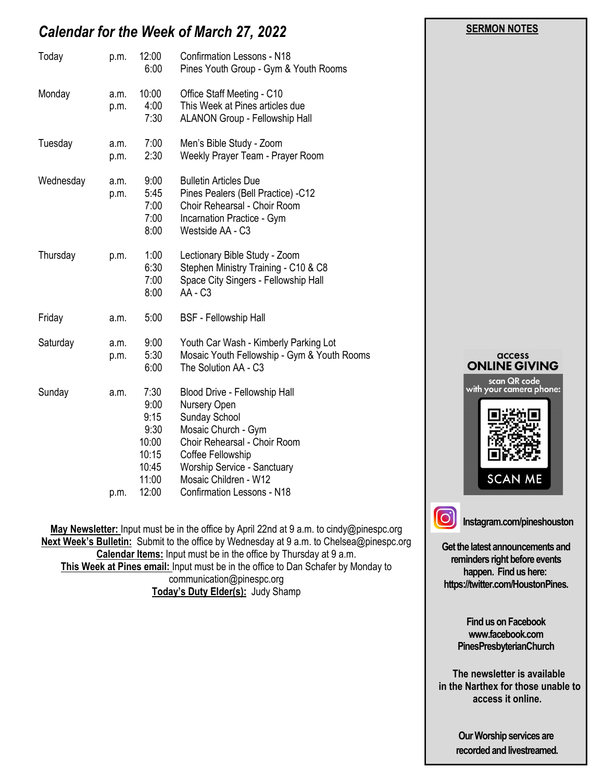# *Calendar for the Week of March 27, 2022*

| Today     | p.m.         | 12:00<br>6:00                                                             | <b>Confirmation Lessons - N18</b><br>Pines Youth Group - Gym & Youth Rooms                                                                                                                                                                     |  |
|-----------|--------------|---------------------------------------------------------------------------|------------------------------------------------------------------------------------------------------------------------------------------------------------------------------------------------------------------------------------------------|--|
| Monday    | a.m.<br>p.m. | 10:00<br>4:00<br>7:30                                                     | Office Staff Meeting - C10<br>This Week at Pines articles due<br><b>ALANON Group - Fellowship Hall</b>                                                                                                                                         |  |
| Tuesday   | a.m.<br>p.m. | 7:00<br>2:30                                                              | Men's Bible Study - Zoom<br>Weekly Prayer Team - Prayer Room                                                                                                                                                                                   |  |
| Wednesday | a.m.<br>p.m. | 9:00<br>5:45<br>7:00<br>7:00<br>8:00                                      | <b>Bulletin Articles Due</b><br>Pines Pealers (Bell Practice) -C12<br>Choir Rehearsal - Choir Room<br>Incarnation Practice - Gym<br>Westside AA - C3                                                                                           |  |
| Thursday  | p.m.         | 1:00<br>6:30<br>7:00<br>8:00                                              | Lectionary Bible Study - Zoom<br>Stephen Ministry Training - C10 & C8<br>Space City Singers - Fellowship Hall<br>AA - C3                                                                                                                       |  |
| Friday    | a.m.         | 5:00                                                                      | <b>BSF</b> - Fellowship Hall                                                                                                                                                                                                                   |  |
| Saturday  | a.m.<br>p.m. | 9:00<br>5:30<br>6:00                                                      | Youth Car Wash - Kimberly Parking Lot<br>Mosaic Youth Fellowship - Gym & Youth Rooms<br>The Solution AA - C3                                                                                                                                   |  |
| Sunday    | a.m.<br>p.m. | 7:30<br>9:00<br>9:15<br>9:30<br>10:00<br>10:15<br>10:45<br>11:00<br>12:00 | Blood Drive - Fellowship Hall<br>Nursery Open<br>Sunday School<br>Mosaic Church - Gym<br>Choir Rehearsal - Choir Room<br>Coffee Fellowship<br><b>Worship Service - Sanctuary</b><br>Mosaic Children - W12<br><b>Confirmation Lessons - N18</b> |  |

**May Newsletter:** Input must be in the office by April 22nd at 9 a.m. to cindy@pinespc.org **Next Week's Bulletin:** Submit to the office by Wednesday at 9 a.m. to Chelsea@pinespc.org **Calendar Items:** Input must be in the office by Thursday at 9 a.m. **This Week at Pines email:** Input must be in the office to Dan Schafer by Monday to communication@pinespc.org **Today's Duty Elder(s):** Judy Shamp



 **SERMON NOTES** 

**Get the latest announcements and reminders right before events happen. Find us here: https://twitter.com/HoustonPines.** 

> **Find us on Facebook www.facebook.com PinesPresbyterianChurch**

 **The newsletter is available in the Narthex for those unable to access it online.**

> **Our Worship services are recorded and livestreamed.**